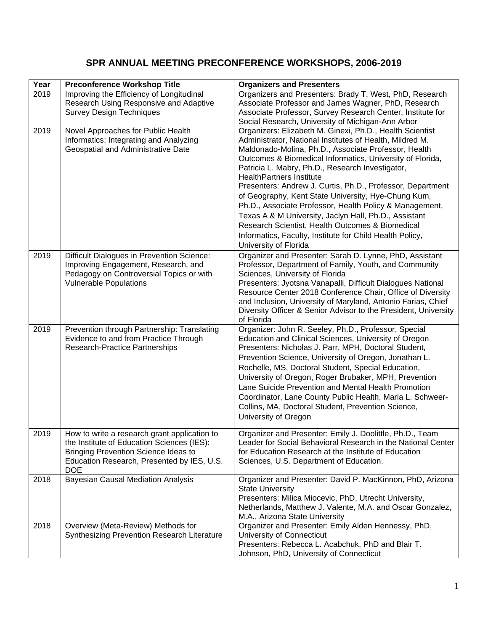## **SPR ANNUAL MEETING PRECONFERENCE WORKSHOPS, 2006-2019**

| Year | <b>Preconference Workshop Title</b>                                               | <b>Organizers and Presenters</b>                                                                                          |
|------|-----------------------------------------------------------------------------------|---------------------------------------------------------------------------------------------------------------------------|
| 2019 | Improving the Efficiency of Longitudinal                                          | Organizers and Presenters: Brady T. West, PhD, Research                                                                   |
|      | Research Using Responsive and Adaptive                                            | Associate Professor and James Wagner, PhD, Research                                                                       |
|      | <b>Survey Design Techniques</b>                                                   | Associate Professor, Survey Research Center, Institute for                                                                |
| 2019 | Novel Approaches for Public Health                                                | Social Research, University of Michigan-Ann Arbor<br>Organizers: Elizabeth M. Ginexi, Ph.D., Health Scientist             |
|      | Informatics: Integrating and Analyzing                                            | Administrator, National Institutes of Health, Mildred M.                                                                  |
|      | Geospatial and Administrative Date                                                | Maldonado-Molina, Ph.D., Associate Professor, Health                                                                      |
|      |                                                                                   | Outcomes & Biomedical Informatics, University of Florida,                                                                 |
|      |                                                                                   | Patricia L. Mabry, Ph.D., Research Investigator,                                                                          |
|      |                                                                                   | <b>HealthPartners Institute</b>                                                                                           |
|      |                                                                                   | Presenters: Andrew J. Curtis, Ph.D., Professor, Department<br>of Geography, Kent State University, Hye-Chung Kum,         |
|      |                                                                                   | Ph.D., Associate Professor, Health Policy & Management,                                                                   |
|      |                                                                                   | Texas A & M University, Jaclyn Hall, Ph.D., Assistant                                                                     |
|      |                                                                                   | Research Scientist, Health Outcomes & Biomedical                                                                          |
|      |                                                                                   | Informatics, Faculty, Institute for Child Health Policy,                                                                  |
|      |                                                                                   | University of Florida                                                                                                     |
| 2019 | Difficult Dialogues in Prevention Science:                                        | Organizer and Presenter: Sarah D. Lynne, PhD, Assistant                                                                   |
|      | Improving Engagement, Research, and                                               | Professor, Department of Family, Youth, and Community                                                                     |
|      | Pedagogy on Controversial Topics or with                                          | Sciences, University of Florida                                                                                           |
|      | <b>Vulnerable Populations</b>                                                     | Presenters: Jyotsna Vanapalli, Difficult Dialogues National<br>Resource Center 2018 Conference Chair, Office of Diversity |
|      |                                                                                   | and Inclusion, University of Maryland, Antonio Farias, Chief                                                              |
|      |                                                                                   | Diversity Officer & Senior Advisor to the President, University                                                           |
|      |                                                                                   | of Florida                                                                                                                |
| 2019 | Prevention through Partnership: Translating                                       | Organizer: John R. Seeley, Ph.D., Professor, Special                                                                      |
|      | Evidence to and from Practice Through<br>Research-Practice Partnerships           | Education and Clinical Sciences, University of Oregon<br>Presenters: Nicholas J. Parr, MPH, Doctoral Student,             |
|      |                                                                                   | Prevention Science, University of Oregon, Jonathan L.                                                                     |
|      |                                                                                   | Rochelle, MS, Doctoral Student, Special Education,                                                                        |
|      |                                                                                   | University of Oregon, Roger Brubaker, MPH, Prevention                                                                     |
|      |                                                                                   | Lane Suicide Prevention and Mental Health Promotion                                                                       |
|      |                                                                                   | Coordinator, Lane County Public Health, Maria L. Schweer-                                                                 |
|      |                                                                                   | Collins, MA, Doctoral Student, Prevention Science,                                                                        |
|      |                                                                                   | University of Oregon                                                                                                      |
| 2019 | How to write a research grant application to                                      | Organizer and Presenter: Emily J. Doolittle, Ph.D., Team                                                                  |
|      | the Institute of Education Sciences (IES):                                        | Leader for Social Behavioral Research in the National Center                                                              |
|      | <b>Bringing Prevention Science Ideas to</b>                                       | for Education Research at the Institute of Education                                                                      |
|      | Education Research, Presented by IES, U.S.                                        | Sciences, U.S. Department of Education.                                                                                   |
| 2018 | <b>DOE</b><br><b>Bayesian Causal Mediation Analysis</b>                           | Organizer and Presenter: David P. MacKinnon, PhD, Arizona                                                                 |
|      |                                                                                   | <b>State University</b>                                                                                                   |
|      |                                                                                   | Presenters: Milica Miocevic, PhD, Utrecht University,                                                                     |
|      |                                                                                   | Netherlands, Matthew J. Valente, M.A. and Oscar Gonzalez,                                                                 |
|      |                                                                                   | M.A., Arizona State University                                                                                            |
| 2018 | Overview (Meta-Review) Methods for<br>Synthesizing Prevention Research Literature | Organizer and Presenter: Emily Alden Hennessy, PhD,                                                                       |
|      |                                                                                   | University of Connecticut<br>Presenters: Rebecca L. Acabchuk, PhD and Blair T.                                            |
|      |                                                                                   | Johnson, PhD, University of Connecticut                                                                                   |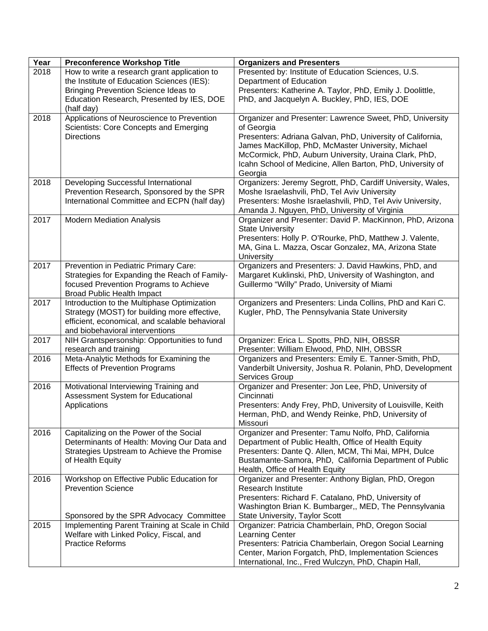| Year | <b>Preconference Workshop Title</b>                                                            | <b>Organizers and Presenters</b>                                                                                    |
|------|------------------------------------------------------------------------------------------------|---------------------------------------------------------------------------------------------------------------------|
| 2018 | How to write a research grant application to                                                   | Presented by: Institute of Education Sciences, U.S.                                                                 |
|      | the Institute of Education Sciences (IES):                                                     | Department of Education                                                                                             |
|      | Bringing Prevention Science Ideas to                                                           | Presenters: Katherine A. Taylor, PhD, Emily J. Doolittle,                                                           |
|      | Education Research, Presented by IES, DOE                                                      | PhD, and Jacquelyn A. Buckley, PhD, IES, DOE                                                                        |
|      | (half day)                                                                                     |                                                                                                                     |
| 2018 | Applications of Neuroscience to Prevention                                                     | Organizer and Presenter: Lawrence Sweet, PhD, University                                                            |
|      | Scientists: Core Concepts and Emerging                                                         | of Georgia                                                                                                          |
|      | <b>Directions</b>                                                                              | Presenters: Adriana Galvan, PhD, University of California,                                                          |
|      |                                                                                                | James MacKillop, PhD, McMaster University, Michael                                                                  |
|      |                                                                                                | McCormick, PhD, Auburn University, Uraina Clark, PhD,<br>Icahn School of Medicine, Allen Barton, PhD, University of |
|      |                                                                                                | Georgia                                                                                                             |
| 2018 | Developing Successful International                                                            | Organizers: Jeremy Segrott, PhD, Cardiff University, Wales,                                                         |
|      | Prevention Research, Sponsored by the SPR                                                      | Moshe Israelashvili, PhD, Tel Aviv University                                                                       |
|      | International Committee and ECPN (half day)                                                    | Presenters: Moshe Israelashvili, PhD, Tel Aviv University,                                                          |
|      |                                                                                                | Amanda J. Nguyen, PhD, University of Virginia                                                                       |
| 2017 | <b>Modern Mediation Analysis</b>                                                               | Organizer and Presenter: David P. MacKinnon, PhD, Arizona                                                           |
|      |                                                                                                | <b>State University</b>                                                                                             |
|      |                                                                                                | Presenters: Holly P. O'Rourke, PhD, Matthew J. Valente,                                                             |
|      |                                                                                                | MA, Gina L. Mazza, Oscar Gonzalez, MA, Arizona State                                                                |
|      |                                                                                                | University                                                                                                          |
| 2017 | Prevention in Pediatric Primary Care:                                                          | Organizers and Presenters: J. David Hawkins, PhD, and                                                               |
|      | Strategies for Expanding the Reach of Family-                                                  | Margaret Kuklinski, PhD, University of Washington, and                                                              |
|      | focused Prevention Programs to Achieve                                                         | Guillermo "Willy" Prado, University of Miami                                                                        |
|      | <b>Broad Public Health Impact</b>                                                              |                                                                                                                     |
| 2017 | Introduction to the Multiphase Optimization                                                    | Organizers and Presenters: Linda Collins, PhD and Kari C.                                                           |
|      | Strategy (MOST) for building more effective,<br>efficient, economical, and scalable behavioral | Kugler, PhD, The Pennsylvania State University                                                                      |
|      | and biobehavioral interventions                                                                |                                                                                                                     |
| 2017 | NIH Grantspersonship: Opportunities to fund                                                    | Organizer: Erica L. Spotts, PhD, NIH, OBSSR                                                                         |
|      | research and training                                                                          | Presenter: William Elwood, PhD, NIH, OBSSR                                                                          |
| 2016 | Meta-Analytic Methods for Examining the                                                        | Organizers and Presenters: Emily E. Tanner-Smith, PhD,                                                              |
|      | <b>Effects of Prevention Programs</b>                                                          | Vanderbilt University, Joshua R. Polanin, PhD, Development                                                          |
|      |                                                                                                | Services Group                                                                                                      |
| 2016 | Motivational Interviewing Training and                                                         | Organizer and Presenter: Jon Lee, PhD, University of                                                                |
|      | Assessment System for Educational                                                              | Cincinnati                                                                                                          |
|      | Applications                                                                                   | Presenters: Andy Frey, PhD, University of Louisville, Keith                                                         |
|      |                                                                                                | Herman, PhD, and Wendy Reinke, PhD, University of                                                                   |
| 2016 | Capitalizing on the Power of the Social                                                        | Missouri<br>Organizer and Presenter: Tamu Nolfo, PhD, California                                                    |
|      | Determinants of Health: Moving Our Data and                                                    | Department of Public Health, Office of Health Equity                                                                |
|      | Strategies Upstream to Achieve the Promise                                                     | Presenters: Dante Q. Allen, MCM, Thi Mai, MPH, Dulce                                                                |
|      | of Health Equity                                                                               | Bustamante-Samora, PhD, California Department of Public                                                             |
|      |                                                                                                | Health, Office of Health Equity                                                                                     |
| 2016 | Workshop on Effective Public Education for                                                     | Organizer and Presenter: Anthony Biglan, PhD, Oregon                                                                |
|      | <b>Prevention Science</b>                                                                      | <b>Research Institute</b>                                                                                           |
|      |                                                                                                | Presenters: Richard F. Catalano, PhD, University of                                                                 |
|      |                                                                                                | Washington Brian K. Bumbarger,, MED, The Pennsylvania                                                               |
|      | Sponsored by the SPR Advocacy Committee                                                        | <b>State University, Taylor Scott</b>                                                                               |
| 2015 | Implementing Parent Training at Scale in Child                                                 | Organizer: Patricia Chamberlain, PhD, Oregon Social                                                                 |
|      | Welfare with Linked Policy, Fiscal, and                                                        | <b>Learning Center</b>                                                                                              |
|      | <b>Practice Reforms</b>                                                                        | Presenters: Patricia Chamberlain, Oregon Social Learning                                                            |
|      |                                                                                                | Center, Marion Forgatch, PhD, Implementation Sciences                                                               |
|      |                                                                                                | International, Inc., Fred Wulczyn, PhD, Chapin Hall,                                                                |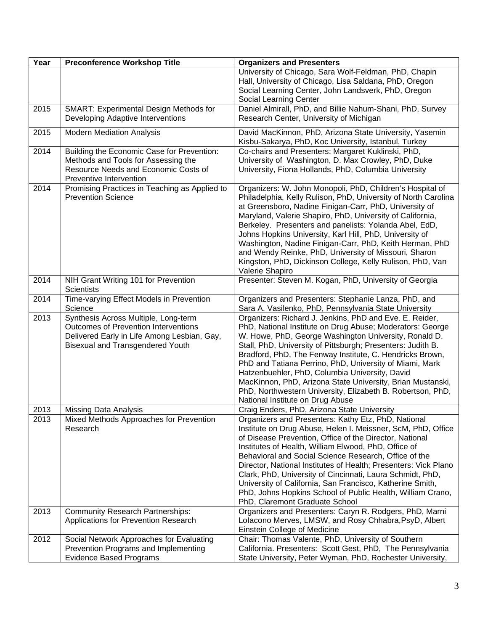| Year | <b>Preconference Workshop Title</b>                                                                                                                                    | <b>Organizers and Presenters</b>                                                                                                                                                                                                                                                                                                                                                                                                                                                                                                                                                             |
|------|------------------------------------------------------------------------------------------------------------------------------------------------------------------------|----------------------------------------------------------------------------------------------------------------------------------------------------------------------------------------------------------------------------------------------------------------------------------------------------------------------------------------------------------------------------------------------------------------------------------------------------------------------------------------------------------------------------------------------------------------------------------------------|
|      |                                                                                                                                                                        | University of Chicago, Sara Wolf-Feldman, PhD, Chapin<br>Hall, University of Chicago, Lisa Saldana, PhD, Oregon<br>Social Learning Center, John Landsverk, PhD, Oregon<br>Social Learning Center                                                                                                                                                                                                                                                                                                                                                                                             |
| 2015 | <b>SMART: Experimental Design Methods for</b>                                                                                                                          | Daniel Almirall, PhD, and Billie Nahum-Shani, PhD, Survey                                                                                                                                                                                                                                                                                                                                                                                                                                                                                                                                    |
|      | Developing Adaptive Interventions                                                                                                                                      | Research Center, University of Michigan                                                                                                                                                                                                                                                                                                                                                                                                                                                                                                                                                      |
| 2015 | <b>Modern Mediation Analysis</b>                                                                                                                                       | David MacKinnon, PhD, Arizona State University, Yasemin<br>Kisbu-Sakarya, PhD, Koc University, Istanbul, Turkey                                                                                                                                                                                                                                                                                                                                                                                                                                                                              |
| 2014 | Building the Economic Case for Prevention:<br>Methods and Tools for Assessing the<br>Resource Needs and Economic Costs of<br>Preventive Intervention                   | Co-chairs and Presenters: Margaret Kuklinski, PhD,<br>University of Washington, D. Max Crowley, PhD, Duke<br>University, Fiona Hollands, PhD, Columbia University                                                                                                                                                                                                                                                                                                                                                                                                                            |
| 2014 | Promising Practices in Teaching as Applied to<br><b>Prevention Science</b>                                                                                             | Organizers: W. John Monopoli, PhD, Children's Hospital of<br>Philadelphia, Kelly Rulison, PhD, University of North Carolina<br>at Greensboro, Nadine Finigan-Carr, PhD, University of<br>Maryland, Valerie Shapiro, PhD, University of California,<br>Berkeley. Presenters and panelists: Yolanda Abel, EdD,<br>Johns Hopkins University, Karl Hill, PhD, University of<br>Washington, Nadine Finigan-Carr, PhD, Keith Herman, PhD<br>and Wendy Reinke, PhD, University of Missouri, Sharon<br>Kingston, PhD, Dickinson College, Kelly Rulison, PhD, Van<br>Valerie Shapiro                  |
| 2014 | NIH Grant Writing 101 for Prevention<br><b>Scientists</b>                                                                                                              | Presenter: Steven M. Kogan, PhD, University of Georgia                                                                                                                                                                                                                                                                                                                                                                                                                                                                                                                                       |
| 2014 | Time-varying Effect Models in Prevention<br>Science                                                                                                                    | Organizers and Presenters: Stephanie Lanza, PhD, and<br>Sara A. Vasilenko, PhD, Pennsylvania State University                                                                                                                                                                                                                                                                                                                                                                                                                                                                                |
| 2013 | Synthesis Across Multiple, Long-term<br>Outcomes of Prevention Interventions<br>Delivered Early in Life Among Lesbian, Gay,<br><b>Bisexual and Transgendered Youth</b> | Organizers: Richard J. Jenkins, PhD and Eve. E. Reider,<br>PhD, National Institute on Drug Abuse; Moderators: George<br>W. Howe, PhD, George Washington University, Ronald D.<br>Stall, PhD, University of Pittsburgh; Presenters: Judith B.<br>Bradford, PhD, The Fenway Institute, C. Hendricks Brown,<br>PhD and Tatiana Perrino, PhD, University of Miami, Mark<br>Hatzenbuehler, PhD, Columbia University, David<br>MacKinnon, PhD, Arizona State University, Brian Mustanski,<br>PhD, Northwestern University, Elizabeth B. Robertson, PhD,<br>National Institute on Drug Abuse        |
| 2013 | <b>Missing Data Analysis</b>                                                                                                                                           | Craig Enders, PhD, Arizona State University                                                                                                                                                                                                                                                                                                                                                                                                                                                                                                                                                  |
| 2013 | Mixed Methods Approaches for Prevention<br>Research                                                                                                                    | Organizers and Presenters: Kathy Etz, PhD, National<br>Institute on Drug Abuse, Helen I. Meissner, ScM, PhD, Office<br>of Disease Prevention, Office of the Director, National<br>Institutes of Health, William Elwood, PhD, Office of<br>Behavioral and Social Science Research, Office of the<br>Director, National Institutes of Health; Presenters: Vick Plano<br>Clark, PhD, University of Cincinnati, Laura Schmidt, PhD,<br>University of California, San Francisco, Katherine Smith,<br>PhD, Johns Hopkins School of Public Health, William Crano,<br>PhD, Claremont Graduate School |
| 2013 | <b>Community Research Partnerships:</b><br>Applications for Prevention Research                                                                                        | Organizers and Presenters: Caryn R. Rodgers, PhD, Marni<br>Lolacono Merves, LMSW, and Rosy Chhabra, PsyD, Albert<br>Einstein College of Medicine                                                                                                                                                                                                                                                                                                                                                                                                                                             |
| 2012 | Social Network Approaches for Evaluating<br>Prevention Programs and Implementing<br><b>Evidence Based Programs</b>                                                     | Chair: Thomas Valente, PhD, University of Southern<br>California. Presenters: Scott Gest, PhD, The Pennsylvania<br>State University, Peter Wyman, PhD, Rochester University,                                                                                                                                                                                                                                                                                                                                                                                                                 |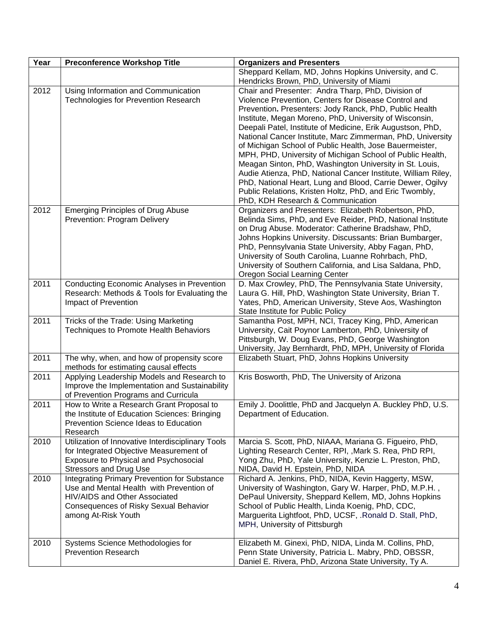| Year | <b>Preconference Workshop Title</b>                                                             | <b>Organizers and Presenters</b>                                                                                 |
|------|-------------------------------------------------------------------------------------------------|------------------------------------------------------------------------------------------------------------------|
|      |                                                                                                 | Sheppard Kellam, MD, Johns Hopkins University, and C.                                                            |
|      |                                                                                                 | Hendricks Brown, PhD, University of Miami                                                                        |
| 2012 | Using Information and Communication                                                             | Chair and Presenter: Andra Tharp, PhD, Division of                                                               |
|      | <b>Technologies for Prevention Research</b>                                                     | Violence Prevention, Centers for Disease Control and                                                             |
|      |                                                                                                 | Prevention. Presenters: Jody Ranck, PhD, Public Health                                                           |
|      |                                                                                                 | Institute, Megan Moreno, PhD, University of Wisconsin,                                                           |
|      |                                                                                                 | Deepali Patel, Institute of Medicine, Erik Augustson, PhD,                                                       |
|      |                                                                                                 | National Cancer Institute, Marc Zimmerman, PhD, University                                                       |
|      |                                                                                                 | of Michigan School of Public Health, Jose Bauermeister,                                                          |
|      |                                                                                                 | MPH, PHD, University of Michigan School of Public Health,                                                        |
|      |                                                                                                 | Meagan Sinton, PhD, Washington University in St. Louis,                                                          |
|      |                                                                                                 | Audie Atienza, PhD, National Cancer Institute, William Riley,                                                    |
|      |                                                                                                 | PhD, National Heart, Lung and Blood, Carrie Dewer, Ogilvy                                                        |
|      |                                                                                                 | Public Relations, Kristen Holtz, PhD, and Eric Twombly,                                                          |
|      |                                                                                                 | PhD, KDH Research & Communication                                                                                |
| 2012 | <b>Emerging Principles of Drug Abuse</b>                                                        | Organizers and Presenters: Elizabeth Robertson, PhD,                                                             |
|      | Prevention: Program Delivery                                                                    | Belinda Sims, PhD, and Eve Reider, PhD, National Institute<br>on Drug Abuse. Moderator: Catherine Bradshaw, PhD, |
|      |                                                                                                 | Johns Hopkins University. Discussants: Brian Bumbarger,                                                          |
|      |                                                                                                 | PhD, Pennsylvania State University, Abby Fagan, PhD,                                                             |
|      |                                                                                                 | University of South Carolina, Luanne Rohrbach, PhD,                                                              |
|      |                                                                                                 | University of Southern California, and Lisa Saldana, PhD,                                                        |
|      |                                                                                                 | Oregon Social Learning Center                                                                                    |
| 2011 | <b>Conducting Economic Analyses in Prevention</b>                                               | D. Max Crowley, PhD, The Pennsylvania State University,                                                          |
|      | Research: Methods & Tools for Evaluating the                                                    | Laura G. Hill, PhD, Washington State University, Brian T.                                                        |
|      | Impact of Prevention                                                                            | Yates, PhD, American University, Steve Aos, Washington                                                           |
|      |                                                                                                 | State Institute for Public Policy                                                                                |
| 2011 | Tricks of the Trade: Using Marketing                                                            | Samantha Post, MPH, NCI, Tracey King, PhD, American                                                              |
|      | Techniques to Promote Health Behaviors                                                          | University, Cait Poynor Lamberton, PhD, University of                                                            |
|      |                                                                                                 | Pittsburgh, W. Doug Evans, PhD, George Washington                                                                |
|      |                                                                                                 | University, Jay Bernhardt, PhD, MPH, University of Florida                                                       |
| 2011 | The why, when, and how of propensity score                                                      | Elizabeth Stuart, PhD, Johns Hopkins University                                                                  |
|      | methods for estimating causal effects                                                           |                                                                                                                  |
| 2011 | Applying Leadership Models and Research to                                                      | Kris Bosworth, PhD, The University of Arizona                                                                    |
|      | Improve the Implementation and Sustainability                                                   |                                                                                                                  |
|      | of Prevention Programs and Curricula                                                            |                                                                                                                  |
| 2011 | How to Write a Research Grant Proposal to                                                       | Emily J. Doolittle, PhD and Jacquelyn A. Buckley PhD, U.S.                                                       |
|      | the Institute of Education Sciences: Bringing                                                   | Department of Education.                                                                                         |
|      | Prevention Science Ideas to Education                                                           |                                                                                                                  |
|      | Research                                                                                        |                                                                                                                  |
| 2010 | Utilization of Innovative Interdisciplinary Tools                                               | Marcia S. Scott, PhD, NIAAA, Mariana G. Figueiro, PhD,                                                           |
|      | for Integrated Objective Measurement of                                                         | Lighting Research Center, RPI, , Mark S. Rea, PhD RPI,                                                           |
|      | Exposure to Physical and Psychosocial                                                           | Yong Zhu, PhD, Yale University, Kenzie L. Preston, PhD,                                                          |
|      | <b>Stressors and Drug Use</b>                                                                   | NIDA, David H. Epstein, PhD, NIDA                                                                                |
| 2010 | <b>Integrating Primary Prevention for Substance</b><br>Use and Mental Health with Prevention of | Richard A. Jenkins, PhD, NIDA, Kevin Haggerty, MSW,                                                              |
|      | HIV/AIDS and Other Associated                                                                   | University of Washington, Gary W. Harper, PhD, M.P.H.,                                                           |
|      |                                                                                                 | DePaul University, Sheppard Kellem, MD, Johns Hopkins<br>School of Public Health, Linda Koenig, PhD, CDC,        |
|      | <b>Consequences of Risky Sexual Behavior</b><br>among At-Risk Youth                             | Marguerita Lightfoot, PhD, UCSF, .Ronald D. Stall, PhD,                                                          |
|      |                                                                                                 | MPH, University of Pittsburgh                                                                                    |
|      |                                                                                                 |                                                                                                                  |
| 2010 | Systems Science Methodologies for                                                               | Elizabeth M. Ginexi, PhD, NIDA, Linda M. Collins, PhD,                                                           |
|      | <b>Prevention Research</b>                                                                      | Penn State University, Patricia L. Mabry, PhD, OBSSR,                                                            |
|      |                                                                                                 | Daniel E. Rivera, PhD, Arizona State University, Ty A.                                                           |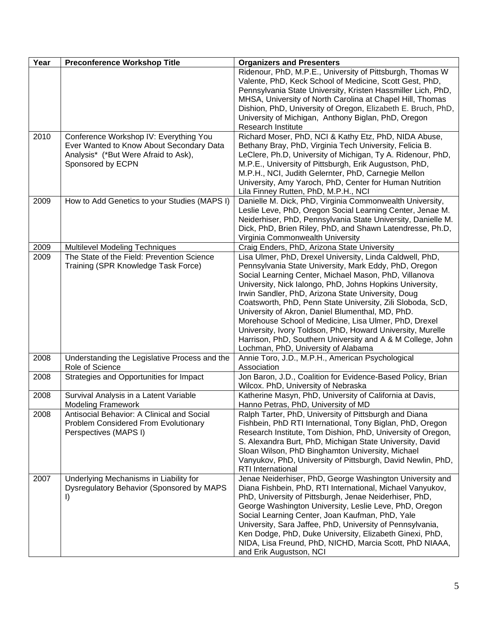| Year | <b>Preconference Workshop Title</b>                                                                                                             | <b>Organizers and Presenters</b>                                                                                                                                                                                                                                                                                                                                                                                                                                                                                                                                                                                                           |
|------|-------------------------------------------------------------------------------------------------------------------------------------------------|--------------------------------------------------------------------------------------------------------------------------------------------------------------------------------------------------------------------------------------------------------------------------------------------------------------------------------------------------------------------------------------------------------------------------------------------------------------------------------------------------------------------------------------------------------------------------------------------------------------------------------------------|
|      |                                                                                                                                                 | Ridenour, PhD, M.P.E., University of Pittsburgh, Thomas W<br>Valente, PhD, Keck School of Medicine, Scott Gest, PhD,<br>Pennsylvania State University, Kristen Hassmiller Lich, PhD,<br>MHSA, University of North Carolina at Chapel Hill, Thomas<br>Dishion, PhD, University of Oregon, Elizabeth E. Bruch, PhD,<br>University of Michigan, Anthony Biglan, PhD, Oregon<br>Research Institute                                                                                                                                                                                                                                             |
| 2010 | Conference Workshop IV: Everything You<br>Ever Wanted to Know About Secondary Data<br>Analysis* (*But Were Afraid to Ask),<br>Sponsored by ECPN | Richard Moser, PhD, NCI & Kathy Etz, PhD, NIDA Abuse,<br>Bethany Bray, PhD, Virginia Tech University, Felicia B.<br>LeClere, Ph.D, University of Michigan, Ty A. Ridenour, PhD,<br>M.P.E., University of Pittsburgh, Erik Augustson, PhD,<br>M.P.H., NCI, Judith Gelernter, PhD, Carnegie Mellon<br>University, Amy Yaroch, PhD, Center for Human Nutrition<br>Lila Finney Rutten, PhD, M.P.H., NCI                                                                                                                                                                                                                                        |
| 2009 | How to Add Genetics to your Studies (MAPS I)                                                                                                    | Danielle M. Dick, PhD, Virginia Commonwealth University,<br>Leslie Leve, PhD, Oregon Social Learning Center, Jenae M.<br>Neiderhiser, PhD, Pennsylvania State University, Danielle M.<br>Dick, PhD, Brien Riley, PhD, and Shawn Latendresse, Ph.D,<br>Virginia Commonwealth University                                                                                                                                                                                                                                                                                                                                                     |
| 2009 | <b>Multilevel Modeling Techniques</b>                                                                                                           | Craig Enders, PhD, Arizona State University                                                                                                                                                                                                                                                                                                                                                                                                                                                                                                                                                                                                |
| 2009 | The State of the Field: Prevention Science<br>Training (SPR Knowledge Task Force)                                                               | Lisa Ulmer, PhD, Drexel University, Linda Caldwell, PhD,<br>Pennsylvania State University, Mark Eddy, PhD, Oregon<br>Social Learning Center, Michael Mason, PhD, Villanova<br>University, Nick Ialongo, PhD, Johns Hopkins University,<br>Irwin Sandler, PhD, Arizona State University, Doug<br>Coatsworth, PhD, Penn State University, Zili Sloboda, ScD,<br>University of Akron, Daniel Blumenthal, MD, PhD.<br>Morehouse School of Medicine, Lisa Ulmer, PhD, Drexel<br>University, Ivory Toldson, PhD, Howard University, Murelle<br>Harrison, PhD, Southern University and A & M College, John<br>Lochman, PhD, University of Alabama |
| 2008 | Understanding the Legislative Process and the<br>Role of Science                                                                                | Annie Toro, J.D., M.P.H., American Psychological<br>Association                                                                                                                                                                                                                                                                                                                                                                                                                                                                                                                                                                            |
| 2008 | Strategies and Opportunities for Impact                                                                                                         | Jon Baron, J.D., Coalition for Evidence-Based Policy, Brian<br>Wilcox. PhD, University of Nebraska                                                                                                                                                                                                                                                                                                                                                                                                                                                                                                                                         |
| 2008 | Survival Analysis in a Latent Variable<br><b>Modeling Framework</b>                                                                             | Katherine Masyn, PhD, University of California at Davis,<br>Hanno Petras, PhD, University of MD                                                                                                                                                                                                                                                                                                                                                                                                                                                                                                                                            |
| 2008 | Antisocial Behavior: A Clinical and Social<br>Problem Considered From Evolutionary<br>Perspectives (MAPS I)                                     | Ralph Tarter, PhD, University of Pittsburgh and Diana<br>Fishbein, PhD RTI International, Tony Biglan, PhD, Oregon<br>Research Institute, Tom Dishion, PhD, University of Oregon,<br>S. Alexandra Burt, PhD, Michigan State University, David<br>Sloan Wilson, PhD Binghamton University, Michael<br>Vanyukov, PhD, University of Pittsburgh, David Newlin, PhD,<br><b>RTI</b> International                                                                                                                                                                                                                                               |
| 2007 | Underlying Mechanisms in Liability for<br>Dysregulatory Behavior (Sponsored by MAPS<br>I)                                                       | Jenae Neiderhiser, PhD, George Washington University and<br>Diana Fishbein, PhD, RTI International, Michael Vanyukov,<br>PhD, University of Pittsburgh, Jenae Neiderhiser, PhD,<br>George Washington University, Leslie Leve, PhD, Oregon<br>Social Learning Center, Joan Kaufman, PhD, Yale<br>University, Sara Jaffee, PhD, University of Pennsylvania,<br>Ken Dodge, PhD, Duke University, Elizabeth Ginexi, PhD,<br>NIDA, Lisa Freund, PhD, NICHD, Marcia Scott, PhD NIAAA,<br>and Erik Augustson, NCI                                                                                                                                 |